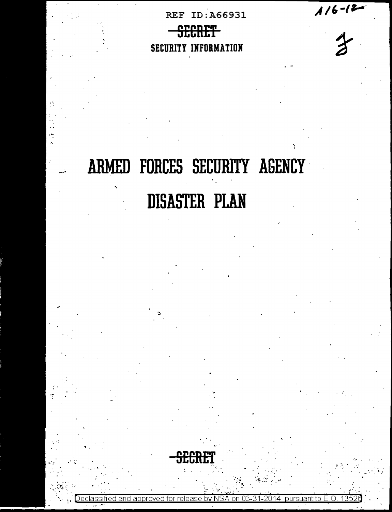$1/6 - 12$ 

# **REF ID:A66931** SECRET SECURITY INFORMATION

ARMED FORCES SECURITY AGENCY **DISASTER PLAN** 



oursuant to: on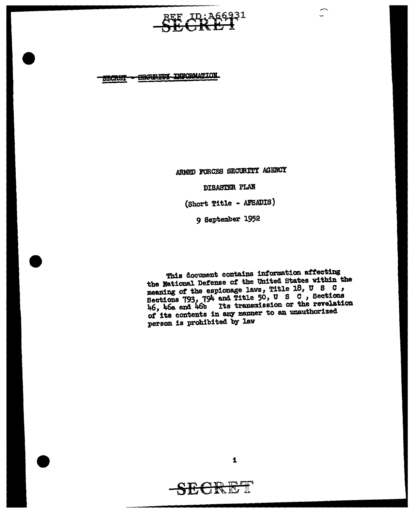:A66931

CECURITY INFORMATION **SECRET** 

ARMED FORCES SECURITY AGENCY

DISASTER PLAN

(Short Title - AFSADIS)

9 September 1952

This document contains information affecting the National Defense of the United States within the meaning of the espionage laws, Title 18, U S C, Sections 793, 794 and Title 50, U S C, Sections 46, 46a and 46b Its transmission or the revelation of its contents in any manner to an unauthorized person is prohibited by law

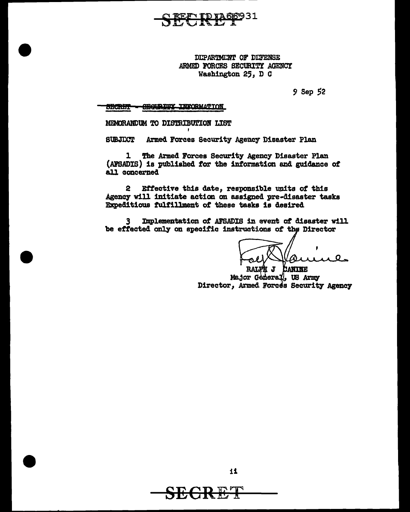931

DEPARTMENT OF DEFENSE ARMED FORCES SECURITY AGENCY Washington 25, D C

9 Sep 52

**CEGURITY INFORMATION SBCRETT-**

MEMORANDUM TO DISTRIBUTION LIST

**SUBJECT** Armed Forces Security Agency Disaster Plan

The Armed Forces Security Agency Disaster Plan  $\mathbf{1}$ (AFSADIS) is published for the information and guidance of all concerned

Effective this date, responsible units of this  $2<sup>1</sup>$ Agency will initiate action on assigned pre-disaster tasks Expeditious fulfillment of these tasks is desired

Implementation of AFSADIS in event of disaster will 3 be effected only on specific instructions of the Director

O

RALFR J CANINE Major General, US Army Director, Armed Forces Security Agency



11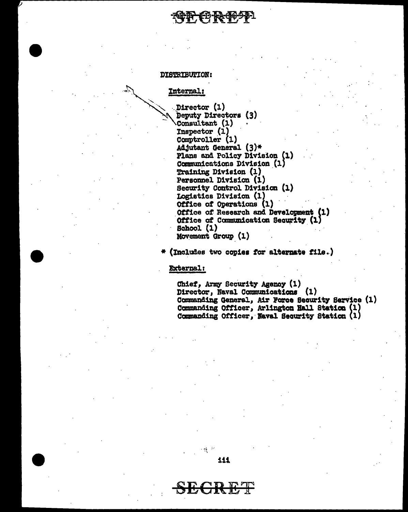# Е РНА С

#### **DISTRIBUTION:**

Internal:

Director (1) Deputy Directors (3) Consultant (1)  $In  
spector (1)$ Comptroller (1) Adjutant General (3)\* Plans and Policy Division (1) Communications Division (1) Training Division (1) Personnel Division (1) Security Control Division (1) Logistics Division (1) Office of Operations (1) Office of Research and Development (1) Office of Communication Security (1) **School** (1) Movement Group (1)

(Includes two copies for alternate file.)

**External:** 

Chief, Army Security Agency (1) Director, Naval Communications (1) Commanding General, Air Force Security Service (1) Commanding Officer, Arlington Hall Station (1) Commanding Officer, Naval Security Station (1)

111

EC R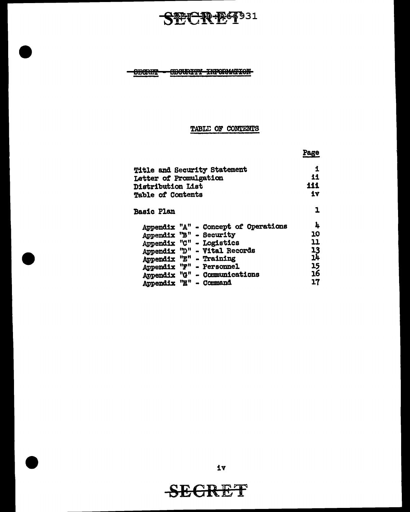STCRET331

-OBGRET - OBGURITY INFORMATION-

## TABLE OF CONTENTS

|                                                                                                                                                                                                                                                  | Page                                        |  |
|--------------------------------------------------------------------------------------------------------------------------------------------------------------------------------------------------------------------------------------------------|---------------------------------------------|--|
| Title and Security Statement<br>Letter of Promulgation<br>Distribution List<br><b>Table of Contents</b>                                                                                                                                          |                                             |  |
| <b>Basic Plan</b>                                                                                                                                                                                                                                |                                             |  |
| Appendix "A" - Concept of Operations<br>Appendix "B" - Security<br>Appendix "C" - Logistics<br>Appendix "D" - Vital Records<br>Appendix "E" - Training<br>Appendix "F" - Personnel<br>Appendix "G" - Communications<br>Appendix "H"<br>- Command | 4<br>10<br>11<br>13<br>ıĥ<br>15<br>16<br>17 |  |

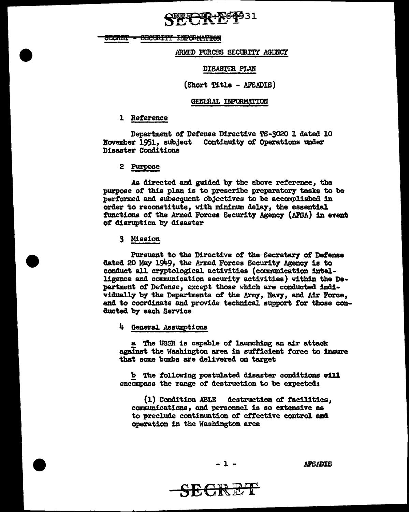**PIR REFP31** 

SECRET - SECURITY INFORMATION

ARMED FORCES SECURITY AGLINCY

DISASTIR PLAN

(Short Title - AFSADIS)

#### GENERAL INFORMATION

#### 1 Reference

Department *ot* Defense Directive TS-3020 1 dated 10 Bovember 1951, subject Continuity of Operations tmder Disaster Cond1t1ons

2 Purpose

As airected and guided by the above reference, the purpose of this plan is to prescribe preparatory tasks to be performed and subsequent objectives to be accomplished in order to reconstitute, with m1n1mum. delay, the essential functions of the Armed Forces Security Agency (AFSA) in event *ot* disruption by disaster

3 Mission

Pursuant to the Directive of the Secretary of Defense dated 20 May 1949, the Armed Forces Security Agency is to conduct all cryptological activities (communication intelligence and communication security activities) within the Department of Defense, except those which are conducted individually by the Departments of the Army, Navy, and Air Force, and to coordinate and provide technical support for those comducted by each Service

la. General Assumptions

a The USSR is capable of launching an air attack against the Washington area in sufficient force to insure that some bombs are delivered on target

b The following postulated disaster conditions will encompass the range of destruction to be expected:

(1) Condition ABLE destruction *ot* facilities, communications, and personnel is so extensive as to preclude continuation of effective control and operation 1n the Washington area

 $-1$  -  $\blacksquare$ 

SECRET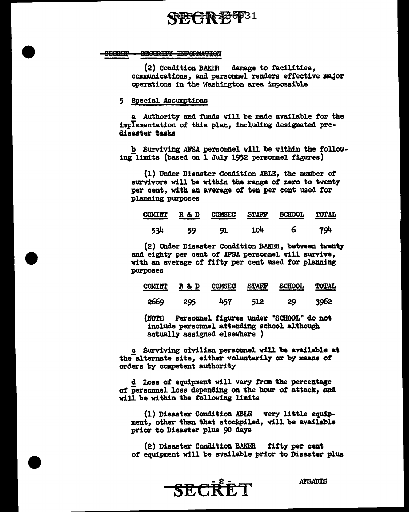# FECTR-F66931

#### **SHORD? CECURITY INFORMATION**

(2) Condition BAK£B damage to facilities, communications, and personnel renders effective major operations in the Washington area impossible

#### 5 Special Assumptions

a Authority and funds will be made available for the implementation of this plan, inciuding designated predisaster tasks

b Surviving AFSA personnel will be within the followin4C1:1.m:1ts (based on 1 July 1952 personnel figures)

(1) Under Disaster Condition ABLE, the number *at*  survivors will be within the range of zero to twenty per cent, with an average of ten per cent used for planning purposes

| <b>COMINT</b> | R & D | <b>COMSEC</b> | <b>STAFF</b><br>______ | <b>SCHOOL</b> | <b>TOTAL</b> |
|---------------|-------|---------------|------------------------|---------------|--------------|
| 534           | 59    | 91            | 104                    | 6             | 794          |

(2) Under Disaster Condition BAKER, between twenty and eighty per cent *ot* AFSA personnel will survive, with an average of fifty per cent used for planning purposes

| <b>COMINT</b> | R & D<br>______ | <b>COMSEC</b><br><u>www.community.com</u> | <b>STAFF</b> | <b>SCHOOL</b><br>متساهد فسنست | TOTAL |
|---------------|-----------------|-------------------------------------------|--------------|-------------------------------|-------|
| 2669          | 295             | 457                                       | 512          | 29                            | 3962  |

(NOrE Personnel figures under "SCHOOL" do not include personnel attending school although actually- assigned elsewhere )

c Surviving civilian personnel will be available at the-alternate site, either voluntarily or by means of orders by competent authority-

d Loss of equipment will vary from the percentage of personnel loss depending on the hour of attack, and will be within the following limits

(1) Disaster Condition ABLE very little equipment, other than that stockpiled, will be available prior to Disaster plus 90 days

(2) Disaster Condition BAKER fifty per cent *ot* equipment will be available prior to Disaster plus

**<sup>AFSADIS</sup>**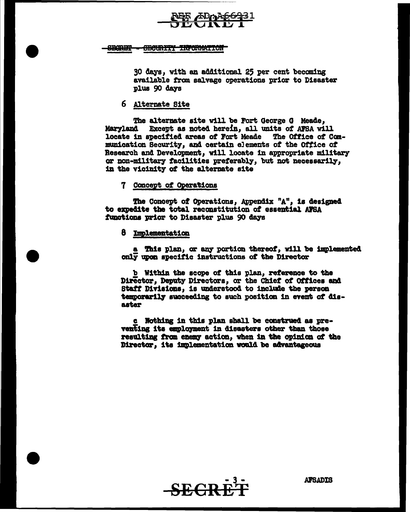

**SBARET** <del>CECURITY INFORMATION</del>

30 days, with an additional 25 per cent becoming available from salvage operations prior to Disaster plus 90 days

### 6 Alternate Site

The alternate site will be Fort George G Meade, Maryland Except as noted herein, all units of AFSA will locate in specified areas of Fort Meade The Office of Communication Security, and certain elements of the Office of Research and Development, will locate in appropriate military or non-military facilities preferably, but not necessarily, in the vicinity of the alternate site

#### 7 Concept of Operations

The Concept of Operations, Appendix "A", is designed to expedite the total reconstitution of essential AFSA functions prior to Disaster plus 90 days

#### 8 Implementation

a This plan, or any portion thereof, will be implemented only upon specific instructions of the Director

b Within the scope of this plan, reference to the Director, Deputy Directors, or the Chief of Offices and Staff Divisions, is understood to include the person temporarily succeeding to such position in event of dis**aster** 

c Nothing in this plan shall be construed as preventing its employment in disasters other than those resulting from enemy action, when in the opinion of the Director. its implementation would be advantageous



**AFSADIS**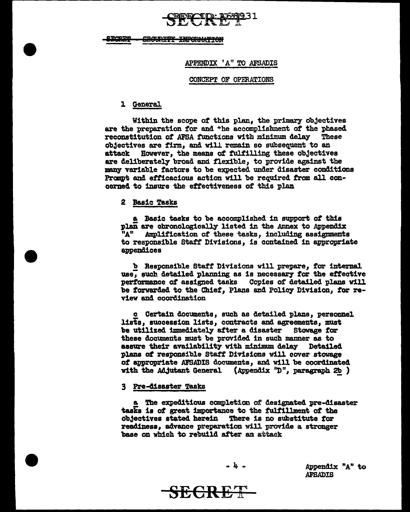# **• APPENDIX 14" TO AFSADIS**

#### CONCEPT OF OPERATIONS

#### l General

Within the scope of this plan, the primary objectives are the preparation for and +he accomplishment of the phased reconstitution of AFSA functions with minimum delay These objectives are firm, and will remain so subsequent to an attack However, the means of fulfilling these objectives are deliberately broad and flexible, to provide against the many variable factors to be expected under disaster conditions Prompt and efficacious action will be required from all concerned to insure the effectiveness of this plan

#### 2 Basic Tasks

a Basic tasks to be accomplished in support of this plan are chronologically listed in the Annex to Appendix "A" Amplification of these tasks, including assignments to responsible Staff' Divisions, is contained in appropriate appendices

b Responsible Staff Divisions will prepare, for internal. use, such detailed planning as is necessary for the effective performance of assigned tasks Copies of detailed plans will be forwarded to the Chief, Plans and Policy Division, for review and coordination

c Certain documents, such as detailed plans, personnel lists, succession lists, contracts and agreements, must be utilized immediately after a disaster Stowage for these documents must be provided in such manner as to assure their availability with minimum delay Detailed plans of responsible Staff' Divisions will cover stowage of appropriate AFSADIS documents, and will be coordinated with the Ad.jutant General (Appendix  $"D"$ , paragraph 2b)

#### 3 Pre-41saster Tasks

a The expeditious completion of designated pre-disaster tasks is of great importance to the fulfillment of the ob3ectives stated herein There is no substitute *tor*  readiness, advance preparation rill provide a. stronger base on which to rebuild after an attack

**SECRET** 

Appendix "A" to AFSADIS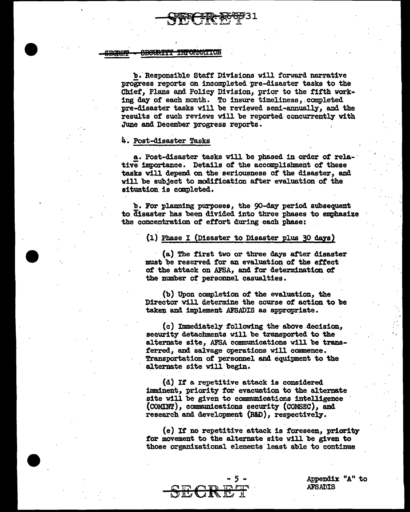$-$ 7-pr $\sim$ 900931 """

#### <del>SECURITY INFORMATION</del> **BORBY**

b. Responsible Staff Divisions will forward narrative progress reports on incompleted pre-disaster tasks to the Chief, Plans and Policy Division, prior to the fifth working day of each month. To insure timeliness, completed pre-disaster tasks will be reviewed semi-annually, and the results of such reviews will be reported concurrently with June and December progress reports.

#### 4. Post-disaster Tasks

a. Post-disaster tasks will be phased in-order *ot* rela-· tive importance. Details of the accomplishment of these tasks will depend on the seriousness of the disaster, and will be subject to modification after evaluation of the situation is completed.

b. For planning purposes, the 90-day period subsequent to.disaster has been.divided into three phases to emphasize the concentration of effort during each phase:

#### $(1)$  Phase I (Disaster to Disaster plus 30 days)

· (a) The first two or three days after disaster must be reserved for an evaluation of the effect of the attack on AFSA, and for determination of the number of personnel casualties.

(b) Upon completion of the evaluation, the Director will determine the course of action to be taken and implement AFSADIS as appropriate.

(c) Immediately·following the· above.decision, security detachments will be transported to the alternate site, AFSA communications will be transferred, and salvage operations will commence. Transportation of personnel and equipment to the alternate site will begin.

(d) If a repetitive attack is considered imminent, priority for evacuation to the alternate site will be given to communications intelligence (COMINT), communications security (COMSEC), and research and development (R&D), respectively.

(e) If no repetitive attack is foreseen, priority for movement to the alternate site will be given to those organizational elements.least able to continue



Appendix "A" to AFSADIS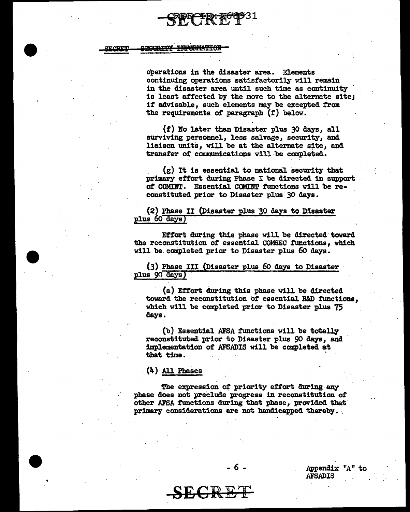**TROUBILLY** <del>INFORMATIC</del>

•

operations in the disaster area. Elements continuing operations satisfactorily will remain in the disaster area until such time as continuity is least affected by the move to the alternate site; if advisable, such elements may be excepted from the requirements of paragraph (f) below.

 $(f)$  No later than Disaster plus 30 days, all surviving personnel, less salvage, security, and liaison units, will be at the alternate site, and transfer of communications will be completed.

 $(g)$  It is essential to national security that primary effort during Phase I be directed. in support of COMIDT. Essential COMDT tunctions will be reconstituted prior to Disaster plus 30 days.

(2) Phase II (Disaster plus 30 days to Disaster plus 60 days)

Effort during this phase will be directed toward the reconstitution of essential COMSEC tunctions, which will be completed prior to Disaster plus 60 days.

(3) Phase III (Disaster plus 60 days to Disaster plus 90 days)

· (a) Effort during this phase will be directed toward the reconstitution of essential R&D functions, which will be completed prior to Disaster plus 75 days.

 $(b)$  Essential AFSA functions will be totally reconstituted prior to Disaster plus 90 days, and implementation of AFSADIS will be completed at that time.

. (4) All Phases

The expression of priority effort during any phase does not preclude progress in reconstitution of other AFSA functions during that phase, provided that primary considerations are not handicapped thereby.

- 6 -

SECRET



Appendix "A" to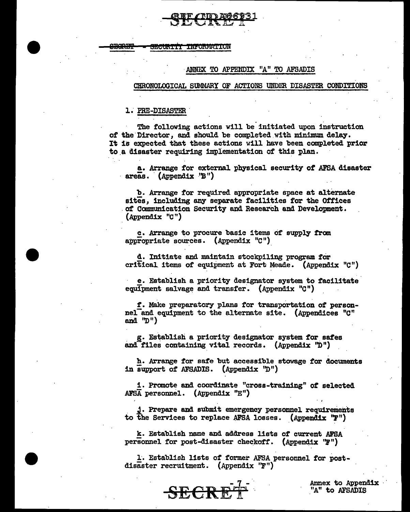• Sl!ISRBP = eEemm !Ml"OftMltiiON

## ANNEX TO APPENDIX "A" TO AFSADIS

#### CHRONOLOGICAL SUMMARY OF ACTIONS UNDER DISASTER CONDITIONS

1. PRE-DISASTER

. . The following actions will be initiated upon instruction of the Director, and should be completed with minimum delay. It is expected that these actions will have been completed prior to.a disaster requiring implementation of this plan.

a. Arrange for external physical security of AFSA disaster areas. (Appendix 'B')

b. Arrange for required appropriate space at alternate sites, including any separate facilities for the Offices .of Communication Security and Research and Development. (Appendix "C")

c. Arrange to procure basic items of supply *tram*  appropriate sources. (Appendix  $C''$ )

d. Initiate and maintain stockpiling program for critical items of equipment at Fort Meade. (Appendix "C")

e. Establish a priority designator system to facilitate equipment salvage and transfer. (Appendix  $"C"$ )

. The contract of the contract of the contract of the contract of the contract of the contract of the contract of the contract of the contract of the contract of the contract of the contract of the contract of the contrac *t.* Make preparatory plans for transportation of personnel-and equipment to the alternate site. (Appendices "C" and  $"D"$ )

g. Establish a priority designator system for safes and files containing vital records. (Appendix  $\mathbb{D}$ ")

h. Arrange for safe but accessible stowage for documents in support of AFSADIS. (Appendix  $\mathcal{D}''$ )

1. Promote and coordinate "cross-training" of selected AFSA personnel. (Appendix "E")

. Prepare and submit emergency personnel requirements to the Services to replace AFSA losses. (Appendix  $"F"$ )

k. Establish name and address lists of current AFSA personnel for post-disaster checkoff. (Appendix 'F")

L Establish lists of former AFSA personnel for postdisaster recruitment. (Appendix ''F"}



Annex to Appendix<br>"A" to AFSADIS

 $\cdot$   $\cdot$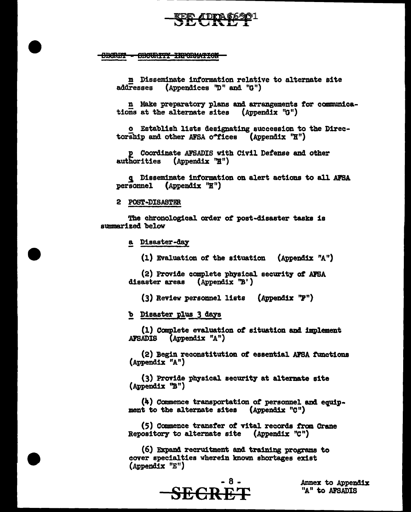<del>OBCRET</del> **OBCURITY INFORMATION** 

> m Disseminate information relative to alternate site (Appendices "D" and "G")  $\overline{\mathbf{addresses}}$

n Make preparatory plans and arrangements for communications at the alternate sites (Appendix "G")

o Establish lists designating succession to the Directorship and other AFSA offices (Appendix "H")

p Coordinate AFSADIS with Civil Defense and other authorities  $(\text{Appendix "H")}$ 

q Disseminate information on alert actions to all AFSA personnel  $(\text{Appendix "H")}$ 

2 POST-DISASTER

The chronological order of post-disaster tasks is summarized below

a Disaster-day

(1) Evaluation of the situation (Appendix "A")

(2) Provide complete physical security of AFSA disaster areas (Appendix  $\mathbb{B}^{\prime}$ )

(3) Review personnel lists (Appendix "F")

b Disaster plus 3 days

(1) Complete evaluation of situation and implement **AFSADIS** (Appendix "A")

(2) Begin reconstitution of essential AFSA functions (Appendix "A")

(3) Provide physical security at alternate site (Appendix "B")

(4) Commence transportation of personnel and equipment to the alternate sites (Appendix "C")

(5) Commence transfer of vital records from Crane Repository to alternate site (Appendix "C")

(6) Expand recruitment and training programs to cover specialties wherein known shortages exist (Appendix "E")



Annex to Appendix "A" to AFSADIS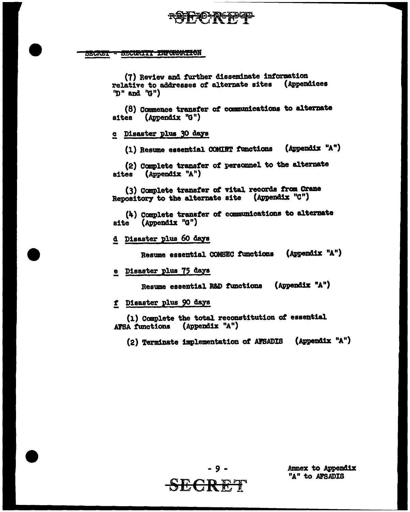#### - SECURITY INFORMATION SEGNET

(7) Review and further disseminate information relative to addresses of alternate sites (Appendices "D" and "G")

(8) Commence transfer of communications to alternate sites (Appendix "G")

c Disaster plus 30 days

(Appendix "A") (1) Resume essential COMINT functions

(2) Complete transfer of personnel to the alternate sites (Appendix "A")

(3) Complete transfer of vital records from Crane Repository to the alternate site (Appendix "C")

(4) Complete transfer of communications to alternate site (Appendix "G")

d Disaster plus 60 days

Resume essential COMSEC functions (Appendix "A")

e Disaster plus 75 days

Resume essential R&D functions (Appendix "A")

f Disaster plus 90 days

(1) Complete the total reconstitution of essential AFSA functions (Appendix "A")

(2) Terminate implementation of AFSADIS (Appendix "A")



Annex to Appendix "A" to AFSADIS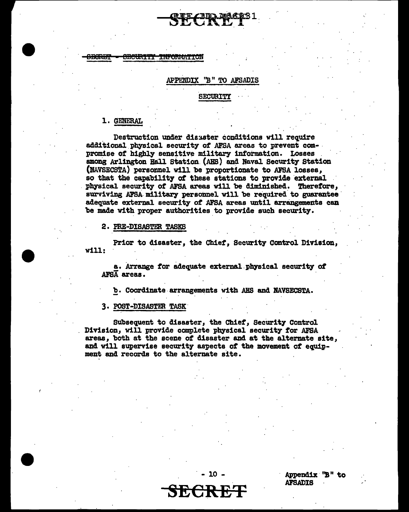#### **JECRET** ametin TTT **TIME ON WATER**

#### APPENDIX ''B II TO AFSADIS

#### SECURITY

## l. GENERAL

. Destruction under dia3ster conditions will require additional physical security of AFSA areas to prevent com-<br>promise of highly sensitive military information. Losses among Arlington Hall Station. (AHS) and Naval Security Station. (BAVSECSTA) personnel will be proportionate to AFSA losses, so that the capability of these stations to provide external physical security of AFSA areas will be diminished. Therefore, surviving AFSA military personnel will be required to guarantee adequate external security of AFSA areas until arrangements can be made with proper authorities to provide such security.

2. PRE-DISASTER TASKS

Prior to disaster, the Chief, Security Control Division, will:

a. Arrange for adequate external physical security of AFSA areas.

b. Coordinate arrangements with ABS and NAVSECSTA.

#### 3. POST-DISASTER TASK·

Subsequent to disaster, the Chief, Security Control Division, will provide complete physical security for AFSA areas, both at the scene of disaster and at the alternate site, and will supervise security aspects. of the movement *ot* equipment and records to the alternate site.

**SECRET** 

. - 10 -

Appendix 'B" to **AFSADIS**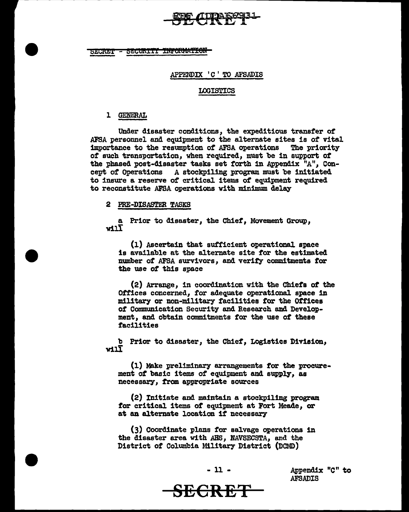

SECRET - SECURITY INFORMATION

#### APPENDIX 'C' TO AFSADIS

#### LOGISTICS

#### l GENERAL

Under disaster conditions, the expeditious transfer of AFSA personnel and equipment to the alternate sites is of vital importance to the resumption of AFSA operations The priority importance to the resumption of AFSA operations of such transportation, when required, must be in support of the phased post-disaster tasks set forth in Appendix "A", Concept of Operations A stockpiling program must be initiated to insure a reserve of critical items of equipment required to reconstitute AFSA operations with minimum delay

#### 2 PRE-DISASTER TASKS

a Prior to disaster, the Chief, Movement Group, will

(1) Ascertain that sufficient operational space is available at the alternate site for the estimated number of AFSA survivors, and verity commitments for the use of this space

(2) Arrange, in coordination with the Chiefs of the Offices concerned, for adequate operational space in military or non-military facilities for the Offices of Communication Security and Research and Development, and obtain commitments for the use of these facilities

b Prior to disaster, the Chief, Logistics Division, will

(1) Make preliminary arrangements for the procurement of basic items of equipment and supply, as necessary, from appropriate sources

(2) Initiate and maintain a stockpiling program for critical items of equipment at Fort Meade, or at an alternate location if necessary

(3) Coordinate plans for salvage operations in the disaster area with AHS, NAVSECSTA, and the District of Columbia Military District (DCMD)



Appendix "C" to AFSADIS

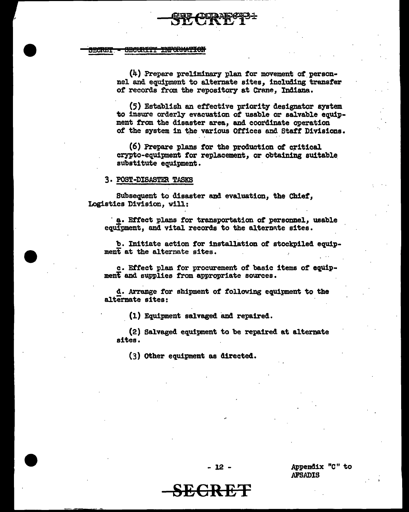**SECRET - SECURITY INFORMATION** 

( 4) -Prepare preliminary plan for movement *ot.* personnel and equipment to alternate sites, including transfer of records from the repository at Crane, Indiana.

(5) Establish an effective priority designator system to insure orderly evacuation of usable or salvable equipment from the disaster area, and coordinate operation of the system in the various Offices and Staff Divisions.

 $(6)$  Prepare plans for the production of critical crypto-equipment for replacement, or obtaining suitable. substitute equipment.

#### 3. POST-DISASTER TASKS

Subsequent to disaster and evaluation, the Chief, Logistics Division, will:

· !• Effect plans for transportation *ot* personnel, usable equipment, and vital records to the alternate sites.

b. Initiate action for installation of stockpiled equipment at the alternate sites.

c. Effect plan for procurement of basic items of equipment and supplies from appropriate sources.

d. Arrange for shipment of following equipment to the alternate sites:

 $(1)$  Equipment salvaged and repaired.

(2) Salvaged equipment to be repaired at alternate sites.

(3) Other equipment as directed.

Appendix "C" to .AFB.ADIB

- 12 -

**SECRET**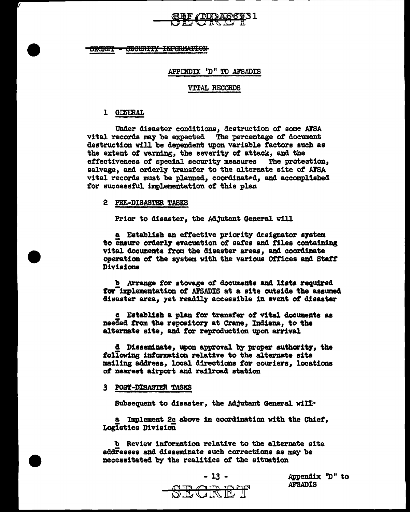## REF / ND A66931

SECURITY INFORMATION 120RET

#### APPENDIX "D" TO AFSADIS

#### **VITAL RECORDS**

#### 1 GENERAL

Under disaster conditions, destruction of some AFSA vital records may be expected The percentage of document destruction will be dependent upon variable factors such as the extent of warning, the severity of attack, and the effectiveness of special security measures The protection, salvage, and orderly transfer to the alternate site of AFSA vital records must be planned, coordinated, and accomplished for successful implementation of this plan

#### 2 PRE-DISASTER TASKS

Prior to disaster, the Adjutant General will

a Establish an effective priority designator system to ensure orderly evacuation of safes and files containing vital documents from the disaster areas. and coordinate operation of the system with the various Offices and Staff Divisions

b Arrange for stowage of documents and lists required for implementation of AFSADIS at a site outside the assumed disaster area, yet readily accessible in event of disaster

c Establish a plan for transfer of vital documents as needed from the repository at Crane, Indiana, to the alternate site, and for reproduction upon arrival

d Disseminate, upon approval by proper authority, the following information relative to the alternate site mailing address, local directions for couriers, locations of nearest airport and railroad station

#### 3 POST-DISASTER TASKS

Subsequent to disaster, the Adjutant General will-

a Implement 2c above in coordination with the Chief, LogIstics Division

b Review information relative to the alternate site addresses and disseminate such corrections as may be necessitated by the realities of the situation



Appendix "D" to **AFSADIS**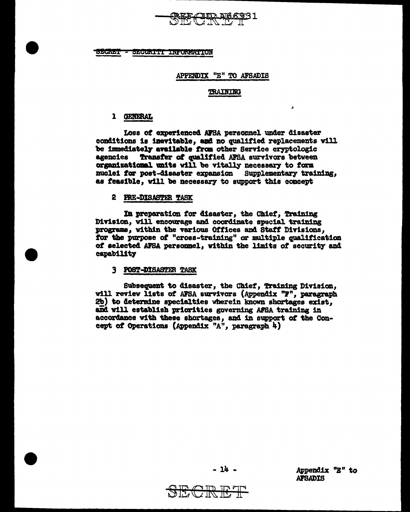

SECRET - SECURITI INFORMATION

#### APPENDIX "E" TO AFSADIS

#### TRAINING

 $\mathbf{r}$ 

#### 1 GENERAL

Loss of experienced AFSA personnel under disaster conditions is inevitable, and no qualified replacements will be immediately available from other Service cryptologic agencies Transfer of qualified AFSA survivors between organizational units will be vitally necessary to form nuclei for post-disaster expansion Supplementary training, as feasible, will be necessary to support this concept

#### 2 PRE-DISASTER TASK

In preparation for disaster, the Chief, Training Division, will encourage and coordinate special training programs, within the various Offices and Staff Divisions, for the purpose of "cross-training" or multiple qualification of selected AFSA personnel, within the limits of security and capability

#### 3 POST-DISASTER TASK

Subsequent to disaster, the Chief, Training Division, will review lists of AFSA survivors (Appendix "F", paragraph 2b) to determine specialties wherein known shortages exist. and will establish priorities governing AFSA training in accordance with these shortages, and in support of the Concept of Operations (Appendix "A", paragraph 4)



- 14 -

Appendix "E" to **AFSADIS**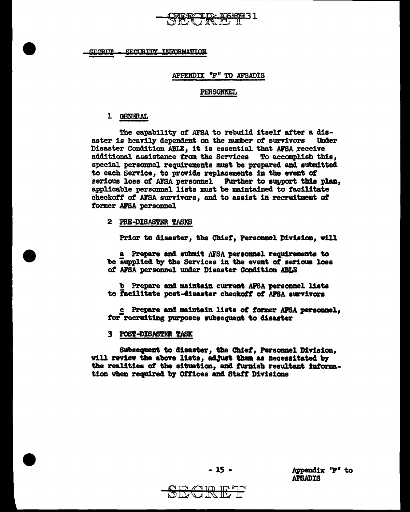

SECURITY INFORMATION <u> SPORTTI</u>

#### APPENDIX "F" TO AFSADIS

#### **PERSONNEL**

#### 1 GENERAL

The capability of AFSA to rebuild itself after a disaster is heavily dependent on the number of survivors **Under** Disaster Condition ABLE, it is essential that AFSA receive additional assistance from the Services To accomplish this, special personnel requirements must be prepared and submitted to each Service, to provide replacements in the event of serious loss of AFSA personnel Further to support this plan, applicable personnel lists must be maintained to facilitate checkoff of AFSA survivors, and to assist in recruitment of former AFSA personnel

#### 2 PRE-DISASTER TASKS

Prior to disaster, the Chief, Personnel Division, will

a Prepare and submit AFSA personnel requirements to be supplied by the Services in the event of serious loss of AFSA personnel under Disaster Condition ABLE

b Prepare and maintain current AFSA personnel lists to facilitate post-disaster checkoff of AFSA survivors

c Prepare and maintain lists of former AFSA personnel. for recruiting purposes subsequent to disaster

#### 3 POST-DISASTER TASK

Subsequent to disaster, the Chief, Personnel Division. will review the above lists, adjust them as necessitated by the realities of the situation, and furnish resultant information when required by Offices and Staff Divisions



Appendix "F" to **AFSADIS**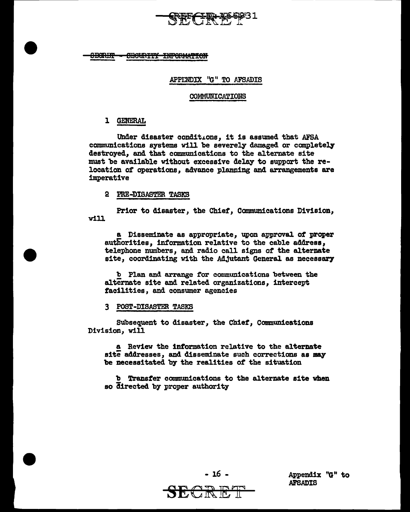

<del>JICRIT</del> <del>OBCURITI INFORMATION</del>

## .APPI:NDJX ''G" TO AFSADIS

#### **COMMUNICATIONS**

## 1 GENERAL

Under disaster conditions, it is assumed that AFSA communications systems will be severely damaged or completely destroyed, and that communications to the alternate site must be available without excessive delay to support the relocation of operations, advance planning and arrangements are imperative

## 2 PRE-DISASTER TASKS

Prior to disaster, the Chief, Canmunications Division, will

a Disseminate as appropriate, upon approval of proper authorities, information relative to the cable address, telephone numbers, and radio call signs of the alternate site, coordinating with the Adjutant General as necessary

b Plan and arrange for communications between the alternate site and related organizations, intercept facilities, and consumer agencies

3 POST-DISASTER TASKS

Subsequent to disaster, the Chief, Communications Division, will

a Review the information relative to the alternate site addresses, and disseminate such corrections as may be necessitated b7 the realities *ot* the situation

b Transfer communications to the alternate site when so directed by proper authority



- 16 -

Appendix "G" to AFSADIS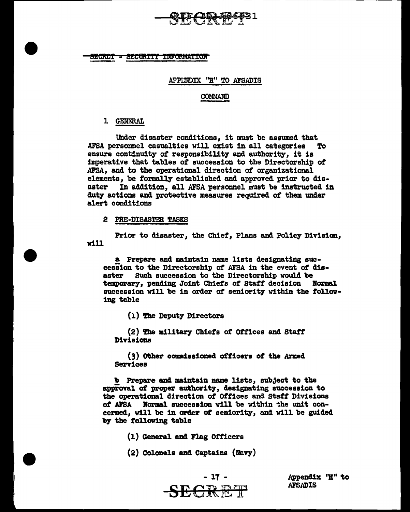**SECRET** SECURITY INFORMATION

## APPINDIX "H" TO AFSADIS

### COMMAND

## l GENERAL

Under disaster conditions, it must be assumed that<br>rsonnel casualties will exist in all categories To AFSA personnel casualties will exist in all categories ensure continuity of responsibility and authority, it is imperative that tables of succession to the Directorship *ot*  .AFSA, and to the operational direction of organizational elements, be formally established and approved prior to dis-<br>aster – In addition, all AFSA personnel must be instructed i In addition, all AFSA personnel must be instructed in duty actions and protective measures required of them under alert conditions

2 PRE-DISASTER TASKS

Prior to disaster, the Chief, Plans and Policy Division, will

a Prepare and maintain name lists designating succession to the Directorship of AFSA in the event of disaster Such succession to the Directorship would be temporary, pending Joint Chiefs of Staff decision succession will be in order of seniority within the following table

(1) The Deputy Directors

(2) The military Chiefs *ot* Offices and Statf Divisions

 $(3)$  Other commissioned officers of the Armed Services

b Prepare and maintain name lists, subject to the approval of proper authority, designating succession to the operational direction *at* Offices and Staff Divisions of AFSA Normal succession will be within the unit concerned, will be in order of seniority, and will be guided by the following table

- (1) General and Flag Officers
- (2) Colonels and Captains (Navy)



Appendix "H" to<br>AFSADIS